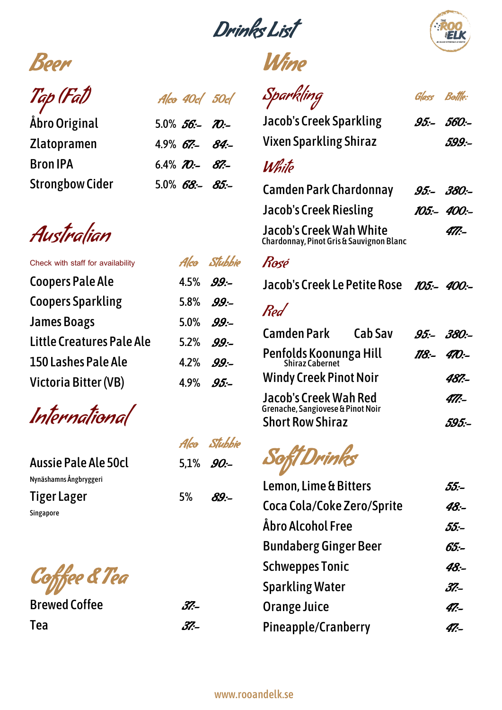Drinks List





Tap (Fat) Alco 40cl 50cl

Åbro Original 5.0%  $56$ :- 70:-Zlatopramen 4.9% 67:- 84:-Bron IPA 6.4%  $70 - 87 - 67$ Strongbow Cider 5.0% 68:- 85:-

Australian

| Alco Stubbie |
|--------------|
| 4.5% $99 -$  |
| 5.8% $99 -$  |
| 5.0% $99 -$  |
| 5.2% $99 -$  |
| 4.2% $99 -$  |
| 4.9% $95 -$  |
|              |

International

|                        |             | Alco Stubbie |
|------------------------|-------------|--------------|
| Aussie Pale Ale 50cl   | 5.1% $90 -$ |              |
| Nynäshamns Ångbryggeri |             |              |
| Tiger Lager            | 5% i        | $R9-$        |
| Singapore              |             |              |

Coffee & Tea

Brewed Coffee 37-Tea $\partial Z$ 

Sparkling Glass Bottle: Jacob's Creek Sparkling 95:- 560:-Vixen Sparkling Shiraz 599:-**White** Camden Park Chardonnay 95:- 380:-Jacob's Creek Riesling 105:- 400:-Jacob's Creek Wah White 477:-Rosé Jacob's Creek Le Petite Rose *105:- 400:-*Red Chardonnay, Pinot Gris & Sauvignon Blanc

| <b>Camden Park</b>                                                | Cab Sav | $.95 - .380 -$ |
|-------------------------------------------------------------------|---------|----------------|
| <b>Penfolds Koonunga Hill</b><br>Shiraz Cabernet                  |         | $118 - 470$ :- |
| <b>Windy Creek Pinot Noir</b>                                     | 487.-   |                |
| <b>Jacob's Creek Wah Red</b><br>Grenache, Sangiovese & Pinot Noir | 477:-   |                |
| <b>Short Row Shiraz</b>                                           |         | 595 :-         |

Soft Drinks

| <b>Lemon, Lime &amp; Bitters</b> | 55.- |
|----------------------------------|------|
| Coca Cola/Coke Zero/Sprite       | 48:- |
| Åbro Alcohol Free                | 55 - |
| <b>Bundaberg Ginger Beer</b>     | 65:– |
| <b>Schweppes Tonic</b>           | 48:- |
| <b>Sparkling Water</b>           | 37.- |
| <b>Orange Juice</b>              | 47.- |
| <b>Pineapple/Cranberry</b>       | 47.- |